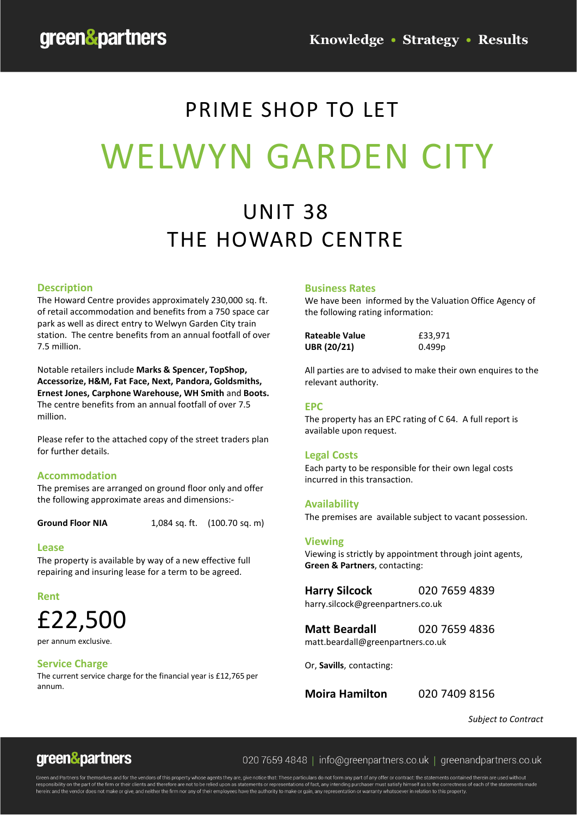# PRIME SHOP TO LET WELWYN GARDEN CITY

## UNIT 38 THE HOWARD CENTRE

### **Description**

The Howard Centre provides approximately 230,000 sq. ft. of retail accommodation and benefits from a 750 space car park as well as direct entry to Welwyn Garden City train station. The centre benefits from an annual footfall of over 7.5 million.

Notable retailers include **Marks & Spencer, TopShop, Accessorize, H&M, Fat Face, Next, Pandora, Goldsmiths, Ernest Jones, Carphone Warehouse, WH Smith** and **Boots.**  The centre benefits from an annual footfall of over 7.5 million.

Please refer to the attached copy of the street traders plan for further details.

#### **Accommodation**

The premises are arranged on ground floor only and offer the following approximate areas and dimensions:-

**Ground Floor NIA** 1,084 sq. ft. (100.70 sq. m)

#### **Lease**

The property is available by way of a new effective full repairing and insuring lease for a term to be agreed.

**Rent**

## £22,500

per annum exclusive.

#### **Service Charge**

The current service charge for the financial year is £12,765 per annum.

#### **Business Rates**

We have been informed by the Valuation Office Agency of the following rating information:

| <b>Rateable Value</b> | £33,971 |
|-----------------------|---------|
| <b>UBR (20/21)</b>    | 0.499p  |

All parties are to advised to make their own enquires to the relevant authority.

#### **EPC**

The property has an EPC rating of C 64. A full report is available upon request.

#### **Legal Costs**

Each party to be responsible for their own legal costs incurred in this transaction.

#### **Availability**

The premises are available subject to vacant possession.

#### **Viewing**

Viewing is strictly by appointment through joint agents, **Green & Partners**, contacting:

**Harry Silcock** 020 7659 4839 harry.silcock@greenpartners.co.uk

**Matt Beardall** 020 7659 4836 matt.beardall@greenpartners.co.uk

Or, **Savills**, contacting:

**Moira Hamilton** 020 7409 8156

*Subject to Contract*



020 7659 4848 | info@greenpartners.co.uk | greenandpartners.co.uk

responsibility on the part of the firm or their clients and therefore are not to be relied upon as statements or representations of fact, any intending purchaser must satisfy himself as to the correctness of each of the st